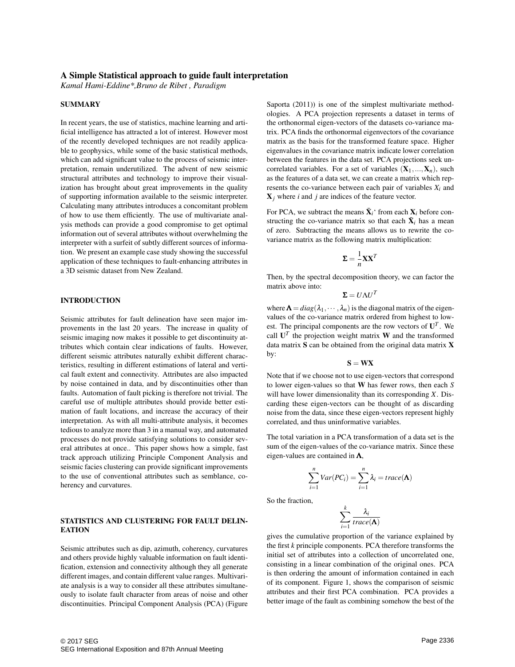### A Simple Statistical approach to guide fault interpretation

*Kamal Hami-Eddine\*,Bruno de Ribet , Paradigm*

#### SUMMARY

In recent years, the use of statistics, machine learning and artificial intelligence has attracted a lot of interest. However most of the recently developed techniques are not readily applicable to geophysics, while some of the basic statistical methods, which can add significant value to the process of seismic interpretation, remain underutilized. The advent of new seismic structural attributes and technology to improve their visualization has brought about great improvements in the quality of supporting information available to the seismic interpreter. Calculating many attributes introduces a concomitant problem of how to use them efficiently. The use of multivariate analysis methods can provide a good compromise to get optimal information out of several attributes without overwhelming the interpreter with a surfeit of subtly different sources of information. We present an example case study showing the successful application of these techniques to fault-enhancing attributes in a 3D seismic dataset from New Zealand.

## INTRODUCTION

Seismic attributes for fault delineation have seen major improvements in the last 20 years. The increase in quality of seismic imaging now makes it possible to get discontinuity attributes which contain clear indications of faults. However, different seismic attributes naturally exhibit different characteristics, resulting in different estimations of lateral and vertical fault extent and connectivity. Attributes are also impacted by noise contained in data, and by discontinuities other than faults. Automation of fault picking is therefore not trivial. The careful use of multiple attributes should provide better estimation of fault locations, and increase the accuracy of their interpretation. As with all multi-attribute analysis, it becomes tedious to analyze more than 3 in a manual way, and automated processes do not provide satisfying solutions to consider several attributes at once.. This paper shows how a simple, fast track approach utilizing Principle Component Analysis and seismic facies clustering can provide significant improvements to the use of conventional attributes such as semblance, coherency and curvatures.

#### STATISTICS AND CLUSTERING FOR FAULT DELIN-**EATION**

Seismic attributes such as dip, azimuth, coherency, curvatures and others provide highly valuable information on fault identification, extension and connectivity although they all generate different images, and contain different value ranges. Multivariate analysis is a way to consider all these attributes simultaneously to isolate fault character from areas of noise and other discontinuities. Principal Component Analysis (PCA) (Figure Saporta (2011)) is one of the simplest multivariate methodologies. A PCA projection represents a dataset in terms of the orthonormal eigen-vectors of the datasets co-variance matrix. PCA finds the orthonormal eigenvectors of the covariance matrix as the basis for the transformed feature space. Higher eigenvalues in the covariance matrix indicate lower correlation between the features in the data set. PCA projections seek uncorrelated variables. For a set of variables  $(X_1, ..., X_n)$ , such as the features of a data set, we can create a matrix which represents the co-variance between each pair of variables  $X_i$  and X*j* where *i* and *j* are indices of the feature vector.

For PCA, we subtract the means  $\bar{\mathbf{X}}_i$ <sup>\*</sup> from each  $\mathbf{X}_i$  before constructing the co-variance matrix so that each  $\bar{\mathbf{X}}_i$  has a mean of zero. Subtracting the means allows us to rewrite the covariance matrix as the following matrix multiplication:

$$
\mathbf{\Sigma} = \frac{1}{n} \mathbf{X} \mathbf{X}^T
$$

Then, by the spectral decomposition theory, we can factor the matrix above into:

$$
\Sigma = U \Lambda U^T
$$

where  $\Lambda = diag(\lambda_1, \dots, \lambda_n)$  is the diagonal matrix of the eigenvalues of the co-variance matrix ordered from highest to lowest. The principal components are the row vectors of  $U<sup>T</sup>$ . We call  $U^T$  the projection weight matrix W and the transformed data matrix S can be obtained from the original data matrix X by:

$$
\mathbf{S} = \mathbf{W} \mathbf{X}
$$

Note that if we choose not to use eigen-vectors that correspond to lower eigen-values so that W has fewer rows, then each *S* will have lower dimensionality than its corresponding *X*. Discarding these eigen-vectors can be thought of as discarding noise from the data, since these eigen-vectors represent highly correlated, and thus uninformative variables.

The total variation in a PCA transformation of a data set is the sum of the eigen-values of the co-variance matrix. Since these eigen-values are contained in  $\Lambda$ ,

$$
\sum_{i=1}^{n} Var(PC_i) = \sum_{i=1}^{n} \lambda_i = trace(\mathbf{\Lambda})
$$

So the fraction,

$$
\sum_{i=1}^k \frac{\lambda_i}{trace(\mathbf{\Lambda})}
$$

gives the cumulative proportion of the variance explained by the first *k* principle components. PCA therefore transforms the initial set of attributes into a collection of uncorrelated one, consisting in a linear combination of the original ones. PCA is then ordering the amount of information contained in each of its component. Figure 1, shows the comparison of seismic attributes and their first PCA combination. PCA provides a better image of the fault as combining somehow the best of the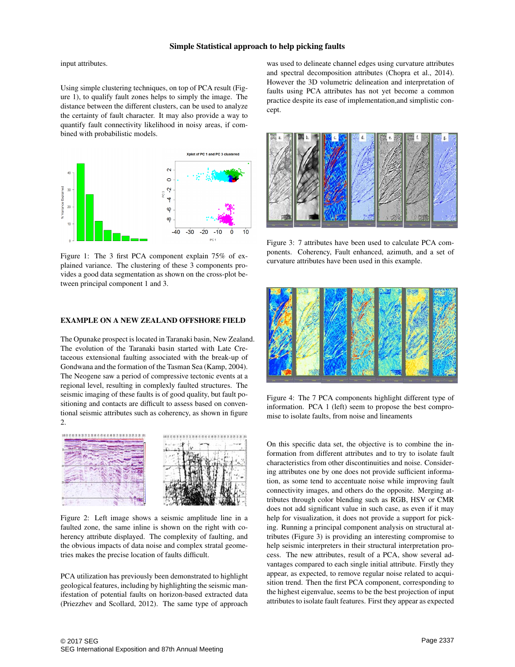### Simple Statistical approach to help picking faults

input attributes.

Using simple clustering techniques, on top of PCA result (Figure 1), to qualify fault zones helps to simply the image. The distance between the different clusters, can be used to analyze the certainty of fault character. It may also provide a way to quantify fault connectivity likelihood in noisy areas, if combined with probabilistic models.



Figure 1: The 3 first PCA component explain 75% of explained variance. The clustering of these 3 components provides a good data segmentation as shown on the cross-plot between principal component 1 and 3.

#### EXAMPLE ON A NEW ZEALAND OFFSHORE FIELD

The Opunake prospect is located in Taranaki basin, New Zealand. The evolution of the Taranaki basin started with Late Cretaceous extensional faulting associated with the break-up of Gondwana and the formation of the Tasman Sea (Kamp, 2004). The Neogene saw a period of compressive tectonic events at a regional level, resulting in complexly faulted structures. The seismic imaging of these faults is of good quality, but fault positioning and contacts are difficult to assess based on conventional seismic attributes such as coherency, as shown in figure 2.



Figure 2: Left image shows a seismic amplitude line in a faulted zone, the same inline is shown on the right with coherency attribute displayed. The complexity of faulting, and the obvious impacts of data noise and complex stratal geometries makes the precise location of faults difficult.

PCA utilization has previously been demonstrated to highlight geological features, including by highlighting the seismic manifestation of potential faults on horizon-based extracted data (Priezzhev and Scollard, 2012). The same type of approach

was used to delineate channel edges using curvature attributes and spectral decomposition attributes (Chopra et al., 2014). However the 3D volumetric delineation and interpretation of faults using PCA attributes has not yet become a common practice despite its ease of implementation,and simplistic concept.



Figure 3: 7 attributes have been used to calculate PCA components. Coherency, Fault enhanced, azimuth, and a set of curvature attributes have been used in this example.



Figure 4: The 7 PCA components highlight different type of information. PCA 1 (left) seem to propose the best compromise to isolate faults, from noise and lineaments

On this specific data set, the objective is to combine the information from different attributes and to try to isolate fault characteristics from other discontinuities and noise. Considering attributes one by one does not provide sufficient information, as some tend to accentuate noise while improving fault connectivity images, and others do the opposite. Merging attributes through color blending such as RGB, HSV or CMR does not add significant value in such case, as even if it may help for visualization, it does not provide a support for picking. Running a principal component analysis on structural attributes (Figure 3) is providing an interesting compromise to help seismic interpreters in their structural interpretation process. The new attributes, result of a PCA, show several advantages compared to each single initial attribute. Firstly they appear, as expected, to remove regular noise related to acquisition trend. Then the first PCA component, corresponding to the highest eigenvalue, seems to be the best projection of input attributes to isolate fault features. First they appear as expected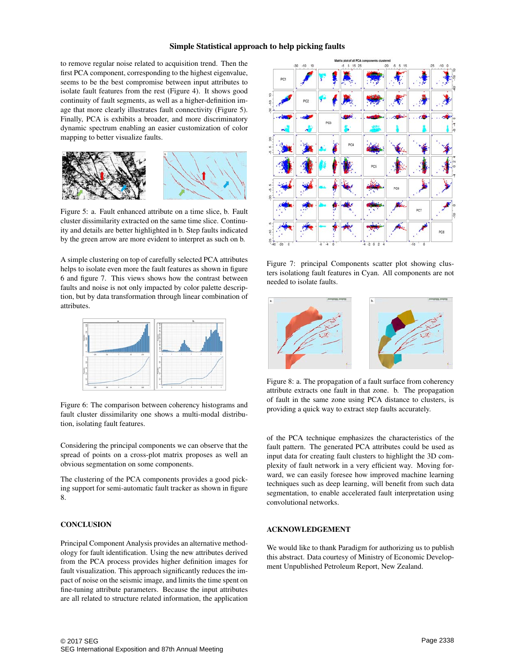### Simple Statistical approach to help picking faults

to remove regular noise related to acquisition trend. Then the first PCA component, corresponding to the highest eigenvalue, seems to be the best compromise between input attributes to isolate fault features from the rest (Figure 4). It shows good continuity of fault segments, as well as a higher-definition image that more clearly illustrates fault connectivity (Figure 5). Finally, PCA is exhibits a broader, and more discriminatory dynamic spectrum enabling an easier customization of color mapping to better visualize faults.



Figure 5: a. Fault enhanced attribute on a time slice, b. Fault cluster dissimilarity extracted on the same time slice. Continuity and details are better highlighted in b. Step faults indicated by the green arrow are more evident to interpret as such on b.

A simple clustering on top of carefully selected PCA attributes helps to isolate even more the fault features as shown in figure 6 and figure 7. This views shows how the contrast between faults and noise is not only impacted by color palette description, but by data transformation through linear combination of attributes.



Figure 6: The comparison between coherency histograms and fault cluster dissimilarity one shows a multi-modal distribution, isolating fault features.

Considering the principal components we can observe that the spread of points on a cross-plot matrix proposes as well an obvious segmentation on some components.

The clustering of the PCA components provides a good picking support for semi-automatic fault tracker as shown in figure 8.

### **CONCLUSION**

Principal Component Analysis provides an alternative methodology for fault identification. Using the new attributes derived from the PCA process provides higher definition images for fault visualization. This approach significantly reduces the impact of noise on the seismic image, and limits the time spent on fine-tuning attribute parameters. Because the input attributes are all related to structure related information, the application



Figure 7: principal Components scatter plot showing clusters isolationg fault features in Cyan. All components are not needed to isolate faults.



Figure 8: a. The propagation of a fault surface from coherency attribute extracts one fault in that zone. b. The propagation of fault in the same zone using PCA distance to clusters, is providing a quick way to extract step faults accurately.

of the PCA technique emphasizes the characteristics of the fault pattern. The generated PCA attributes could be used as input data for creating fault clusters to highlight the 3D complexity of fault network in a very efficient way. Moving forward, we can easily foresee how improved machine learning techniques such as deep learning, will benefit from such data segmentation, to enable accelerated fault interpretation using convolutional networks.

#### ACKNOWLEDGEMENT

We would like to thank Paradigm for authorizing us to publish this abstract. Data courtesy of Ministry of Economic Development Unpublished Petroleum Report, New Zealand.